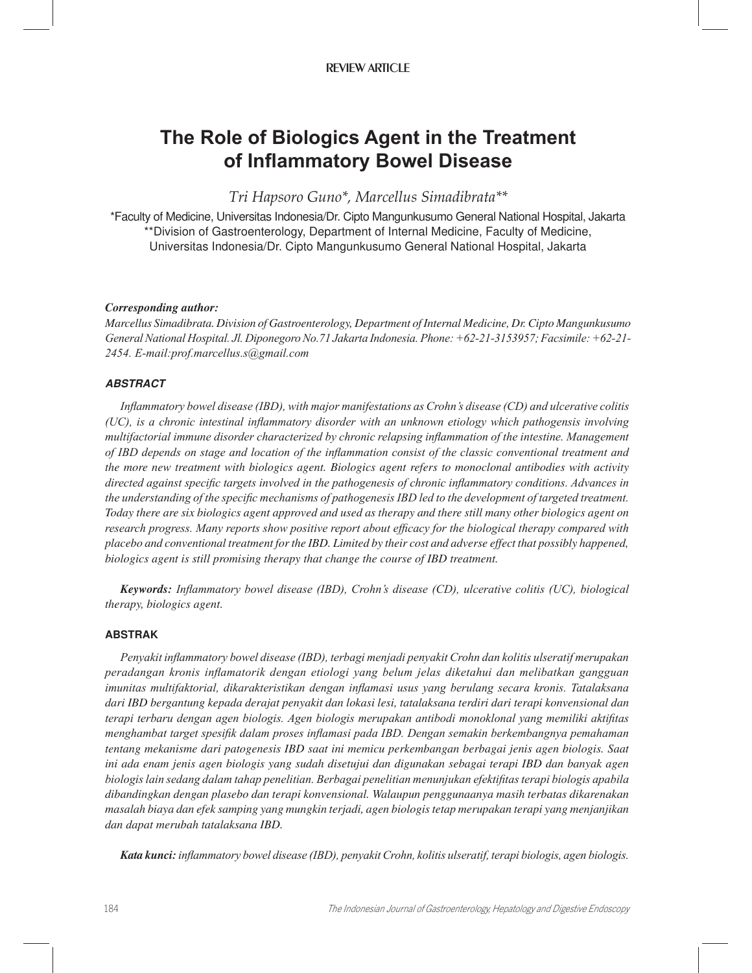# The Role of Biologics Agent in the Treatment of Inflammatory Bowel Disease

Tri Hapsoro Guno\*, Marcellus Simadibrata\*\*

\*Faculty of Medicine, Universitas Indonesia/Dr. Cipto Mangunkusumo General National Hospital, Jakarta \*\*Division of Gastroenterology, Department of Internal Medicine, Faculty of Medicine, Universitas Indonesia/Dr. Cipto Mangunkusumo General National Hospital, Jakarta

#### Corresponding author:

Marcellus Simadibrata. Division of Gastroenterology, Department of Internal Medicine, Dr. Cipto Mangunkusumo General National Hospital. Jl. Diponegoro No. 71 Jakarta Indonesia. Phone: +62-21-3153957; Facsimile: +62-21-2454. E-mail: prof.marcellus.s@gmail.com

## **ABSTRACT**

Inflammatory bowel disease (IBD), with major manifestations as Crohn's disease (CD) and ulcerative colitis (UC), is a chronic intestinal inflammatory disorder with an unknown etiology which pathogensis involving multifactorial immune disorder characterized by chronic relapsing inflammation of the intestine. Management of IBD depends on stage and location of the inflammation consist of the classic conventional treatment and the more new treatment with biologics agent. Biologics agent refers to monoclonal antibodies with activity directed against specific targets involved in the pathogenesis of chronic inflammatory conditions. Advances in the understanding of the specific mechanisms of pathogenesis IBD led to the development of targeted treatment. Today there are six biologics agent approved and used as therapy and there still many other biologics agent on research progress. Many reports show positive report about efficacy for the biological therapy compared with placebo and conventional treatment for the IBD. Limited by their cost and adverse effect that possibly happened, biologics agent is still promising therapy that change the course of IBD treatment.

**Keywords:** Inflammatory bowel disease (IBD), Crohn's disease (CD), ulcerative colitis (UC), biological therapy, biologics agent.

## **ABSTRAK**

Penyakit inflammatory bowel disease (IBD), terbagi menjadi penyakit Crohn dan kolitis ulseratif merupakan peradangan kronis inflamatorik dengan etiologi yang belum jelas diketahui dan melibatkan gangguan imunitas multifaktorial, dikarakteristikan dengan inflamasi usus yang berulang secara kronis. Tatalaksana dari IBD bergantung kepada derajat penyakit dan lokasi lesi, tatalaksana terdiri dari terapi konvensional dan terapi terbaru dengan agen biologis. Agen biologis merupakan antibodi monoklonal yang memiliki aktifitas menghambat target spesifik dalam proses inflamasi pada IBD. Dengan semakin berkembangnya pemahaman tentang mekanisme dari patogenesis IBD saat ini memicu perkembangan berbagai jenis agen biologis. Saat ini ada enam jenis agen biologis yang sudah disetujui dan digunakan sebagai terapi IBD dan banyak agen biologis lain sedang dalam tahap penelitian. Berbagai penelitian menunjukan efektifitas terapi biologis apabila dibandingkan dengan plasebo dan terapi konvensional. Walaupun penggunaanya masih terbatas dikarenakan masalah biaya dan efek samping yang mungkin terjadi, agen biologis tetap merupakan terapi yang menjanjikan dan dapat merubah tatalaksana IBD.

Kata kunci: inflammatory bowel disease (IBD), penyakit Crohn, kolitis ulseratif, terapi biologis, agen biologis.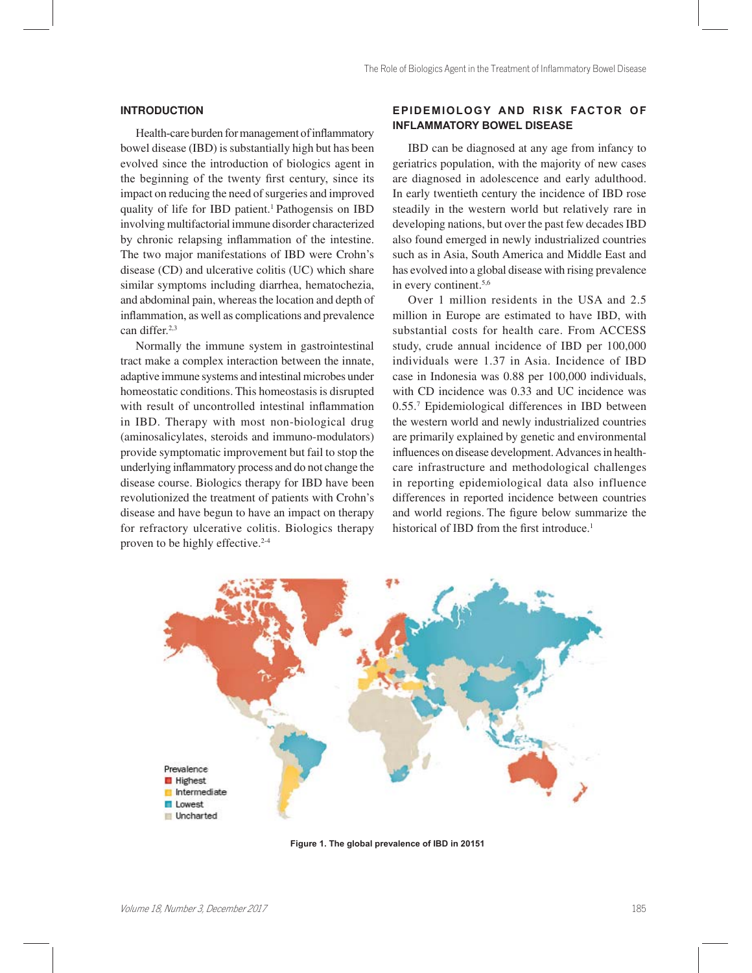#### **INTRODUCTION**

Health-care burden for management of inflammatory bowel disease (IBD) is substantially high but has been evolved since the introduction of biologics agent in the beginning of the twenty first century, since its impact on reducing the need of surgeries and improved quality of life for IBD patient.<sup>1</sup> Pathogensis on IBD involving multifactorial immune disorder characterized by chronic relapsing inflammation of the intestine. The two major manifestations of IBD were Crohn's disease (CD) and ulcerative colitis (UC) which share similar symptoms including diarrhea, hematochezia, and abdominal pain, whereas the location and depth of inflammation, as well as complications and prevalence can differ.<sup>2,3</sup>

Normally the immune system in gastrointestinal tract make a complex interaction between the innate, adaptive immune systems and intestinal microbes under homeostatic conditions. This homeostasis is disrupted with result of uncontrolled intestinal inflammation in IBD. Therapy with most non-biological drug (aminosalicylates, steroids and immuno-modulators) provide symptomatic improvement but fail to stop the underlying inflammatory process and do not change the disease course. Biologics therapy for IBD have been revolutionized the treatment of patients with Crohn's disease and have begun to have an impact on therapy for refractory ulcerative colitis. Biologics therapy proven to be highly effective.<sup>2-4</sup>

# **EPIDEMIOLOGY AND RISK FACTOR OF INFLAMMATORY BOWEL DISEASE**

IBD can be diagnosed at any age from infancy to geriatrics population, with the majority of new cases are diagnosed in adolescence and early adulthood. In early twentieth century the incidence of IBD rose steadily in the western world but relatively rare in developing nations, but over the past few decades IBD also found emerged in newly industrialized countries such as in Asia, South America and Middle East and has evolved into a global disease with rising prevalence in every continent.5,6

Over 1 million residents in the USA and 2.5 million in Europe are estimated to have IBD, with substantial costs for health care. From ACCESS study, crude annual incidence of IBD per 100,000 individuals were 1.37 in Asia. Incidence of IBD case in Indonesia was 0.88 per 100,000 individuals, with CD incidence was 0.33 and UC incidence was 0.55.<sup>7</sup> Epidemiological differences in IBD between the western world and newly industrialized countries are primarily explained by genetic and environmental influences on disease development. Advances in healthcare infrastructure and methodological challenges in reporting epidemiological data also influence differences in reported incidence between countries and world regions. The figure below summarize the historical of IBD from the first introduce.<sup>1</sup>



Figure 1. The global prevalence of IBD in 20151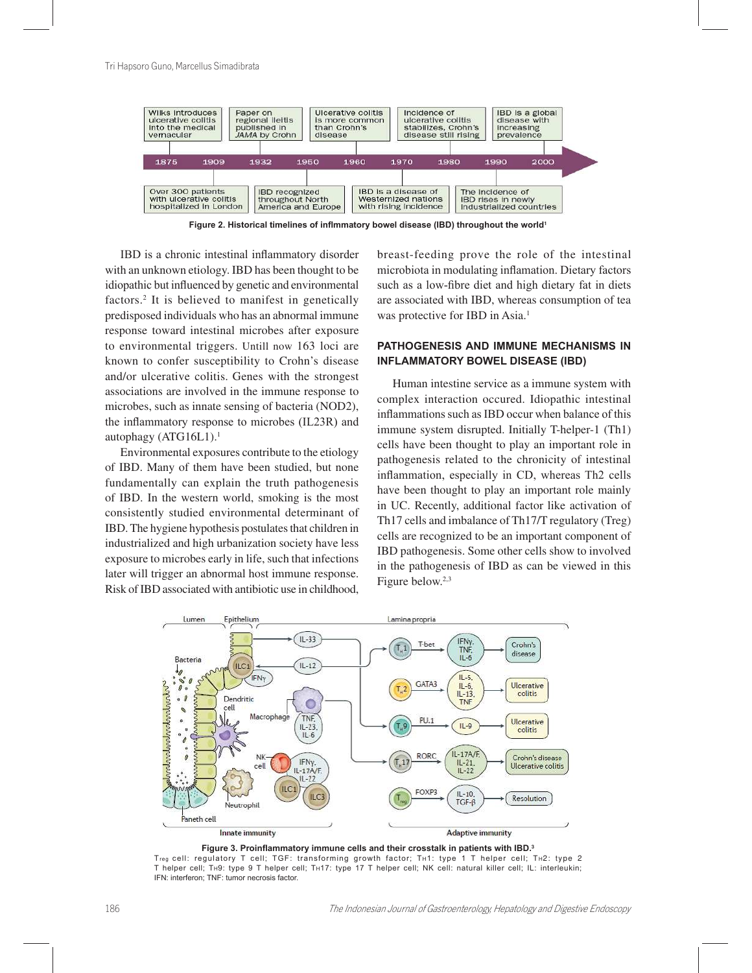

Figure 2. Historical timelines of inflmmatory bowel disease (IBD) throughout the world<sup>1</sup>

IBD is a chronic intestinal inflammatory disorder with an unknown etiology. IBD has been thought to be idiopathic but influenced by genetic and environmental factors.<sup>2</sup> It is believed to manifest in genetically predisposed individuals who has an abnormal immune response toward intestinal microbes after exposure to environmental triggers. Untill now 163 loci are known to confer susceptibility to Crohn's disease and/or ulcerative colitis. Genes with the strongest associations are involved in the immune response to microbes, such as innate sensing of bacteria (NOD2), the inflammatory response to microbes (IL23R) and autophagy (ATG16L1).<sup>1</sup>

Environmental exposures contribute to the etiology of IBD. Many of them have been studied, but none fundamentally can explain the truth pathogenesis of IBD. In the western world, smoking is the most consistently studied environmental determinant of IBD. The hygiene hypothesis postulates that children in industrialized and high urbanization society have less exposure to microbes early in life, such that infections later will trigger an abnormal host immune response. Risk of IBD associated with antibiotic use in childhood,

breast-feeding prove the role of the intestinal microbiota in modulating inflamation. Dietary factors such as a low-fibre diet and high dietary fat in diets are associated with IBD, whereas consumption of tea was protective for IBD in Asia.<sup>1</sup>

## PATHOGENESIS AND IMMUNE MECHANISMS IN **INFLAMMATORY BOWEL DISEASE (IBD)**

Human intestine service as a immune system with complex interaction occured. Idiopathic intestinal inflammations such as IBD occur when balance of this immune system disrupted. Initially T-helper-1 (Th1) cells have been thought to play an important role in pathogenesis related to the chronicity of intestinal inflammation, especially in CD, whereas Th2 cells have been thought to play an important role mainly in UC. Recently, additional factor like activation of Th17 cells and imbalance of Th17/T regulatory (Treg) cells are recognized to be an important component of IBD pathogenesis. Some other cells show to involved in the pathogenesis of IBD as can be viewed in this Figure below.<sup>2,3</sup>



Figure 3. Proinflammatory immune cells and their crosstalk in patients with IBD.3

Treg cell: regulatory T cell; TGF: transforming growth factor; TH1: type 1 T helper cell; TH2: type 2 T helper cell; TH9: type 9 T helper cell; TH17: type 17 T helper cell; NK cell: natural killer cell; IL: interleukin; IFN: interferon; TNF: tumor necrosis factor.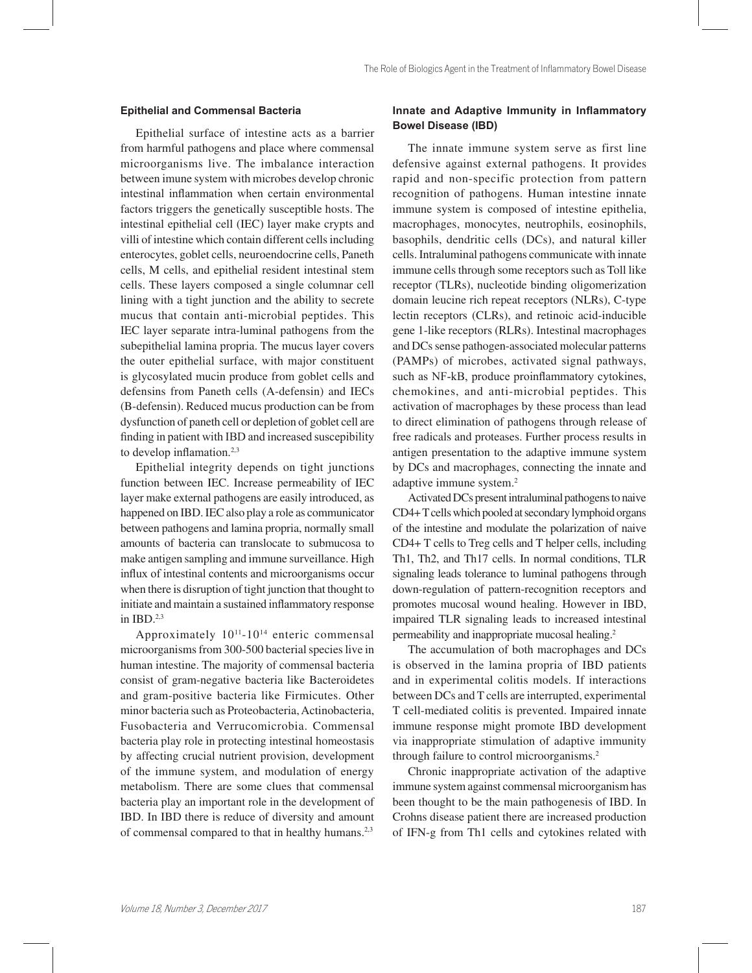## **Epithelial and Commensal Bacteria**

Epithelial surface of intestine acts as a barrier from harmful pathogens and place where commensal microorganisms live. The imbalance interaction between imune system with microbes develop chronic intestinal inflammation when certain environmental factors triggers the genetically susceptible hosts. The intestinal epithelial cell (IEC) layer make crypts and villi of intestine which contain different cells including enterocytes, goblet cells, neuroendocrine cells, Paneth cells, M cells, and epithelial resident intestinal stem cells. These layers composed a single columnar cell lining with a tight junction and the ability to secrete mucus that contain anti-microbial peptides. This IEC layer separate intra-luminal pathogens from the subepithelial lamina propria. The mucus layer covers the outer epithelial surface, with major constituent is glycosylated mucin produce from goblet cells and defensins from Paneth cells (A-defensin) and IECs (B-defensin). Reduced mucus production can be from dysfunction of paneth cell or depletion of goblet cell are finding in patient with IBD and increased suscepibility to develop inflamation.<sup>2,3</sup>

Epithelial integrity depends on tight junctions function between IEC. Increase permeability of IEC layer make external pathogens are easily introduced, as happened on IBD. IEC also play a role as communicator between pathogens and lamina propria, normally small amounts of bacteria can translocate to submucosa to make antigen sampling and immune surveillance. High influx of intestinal contents and microorganisms occur when there is disruption of tight junction that thought to initiate and maintain a sustained inflammatory response in IBD.2,3

Approximately  $10^{11}$ - $10^{14}$  enteric commensal microorganisms from 300-500 bacterial species live in human intestine. The majority of commensal bacteria consist of gram-negative bacteria like Bacteroidetes and gram-positive bacteria like Firmicutes. Other minor bacteria such as Proteobacteria, Actinobacteria, Fusobacteria and Verrucomicrobia. Commensal bacteria play role in protecting intestinal homeostasis by affecting crucial nutrient provision, development of the immune system, and modulation of energy metabolism. There are some clues that commensal bacteria play an important role in the development of IBD. In IBD there is reduce of diversity and amount of commensal compared to that in healthy humans.<sup>2,3</sup>

# Innate and Adaptive Immunity in Inflammatory **Bowel Disease (IBD)**

The innate immune system serve as first line defensive against external pathogens. It provides rapid and non-specific protection from pattern recognition of pathogens. Human intestine innate immune system is composed of intestine epithelia, macrophages, monocytes, neutrophils, eosinophils, basophils, dendritic cells (DCs), and natural killer cells. Intraluminal pathogens communicate with innate immune cells through some receptors such as Toll like receptor (TLRs), nucleotide binding oligomerization domain leucine rich repeat receptors (NLRs), C-type lectin receptors (CLRs), and retinoic acid-inducible gene 1-like receptors (RLRs). Intestinal macrophages and DCs sense pathogen-associated molecular patterns (PAMPs) of microbes, activated signal pathways, such as NF-kB, produce proinflammatory cytokines, chemokines, and anti-microbial peptides. This activation of macrophages by these process than lead to direct elimination of pathogens through release of free radicals and proteases. Further process results in antigen presentation to the adaptive immune system by DCs and macrophages, connecting the innate and adaptive immune system.<sup>2</sup>

Activated DCs present intraluminal pathogens to naive CD4+ T cells which pooled at secondary lymphoid organs of the intestine and modulate the polarization of naive CD4+ T cells to Treg cells and T helper cells, including Th1, Th2, and Th17 cells. In normal conditions, TLR signaling leads tolerance to luminal pathogens through down-regulation of pattern-recognition receptors and promotes mucosal wound healing. However in IBD, impaired TLR signaling leads to increased intestinal permeability and inappropriate mucosal healing.<sup>2</sup>

The accumulation of both macrophages and DCs is observed in the lamina propria of IBD patients and in experimental colitis models. If interactions between DCs and T cells are interrupted, experimental T cell-mediated colitis is prevented. Impaired innate immune response might promote IBD development via inappropriate stimulation of adaptive immunity through failure to control microorganisms.<sup>2</sup>

Chronic inappropriate activation of the adaptive immune system against commensal microorganism has been thought to be the main pathogenesis of IBD. In Crohns disease patient there are increased production of IFN-g from Th1 cells and cytokines related with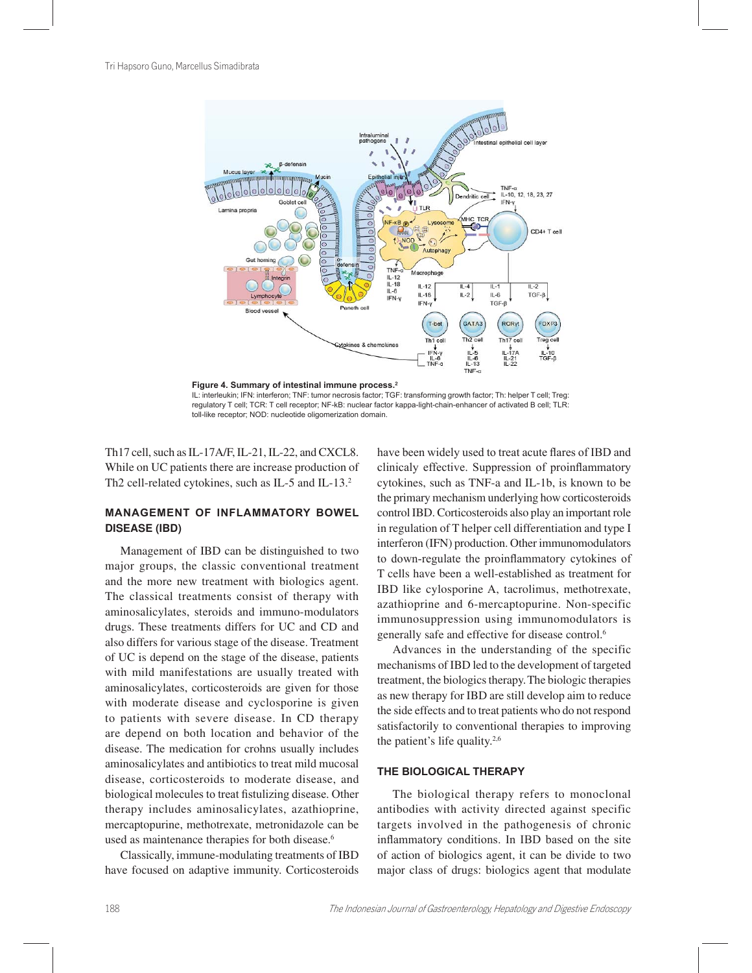



IL: interleukin; IFN: interferon; TNF: tumor necrosis factor; TGF: transforming growth factor; Th: helper T cell; Treg: regulatory T cell; TCR: T cell receptor; NF-kB: nuclear factor kappa-light-chain-enhancer of activated B cell; TLR: toll-like receptor; NOD: nucleotide oligomerization domain

Th17 cell, such as IL-17A/F, IL-21, IL-22, and CXCL8. While on UC patients there are increase production of Th2 cell-related cytokines, such as IL-5 and IL-13.<sup>2</sup>

# **MANAGEMENT OF INFLAMMATORY BOWEL DISEASE (IBD)**

Management of IBD can be distinguished to two major groups, the classic conventional treatment and the more new treatment with biologics agent. The classical treatments consist of therapy with aminosalicylates, steroids and immuno-modulators drugs. These treatments differs for UC and CD and also differs for various stage of the disease. Treatment of UC is depend on the stage of the disease, patients with mild manifestations are usually treated with aminosalicylates, corticosteroids are given for those with moderate disease and cyclosporine is given to patients with severe disease. In CD therapy are depend on both location and behavior of the disease. The medication for crohns usually includes aminosalicylates and antibiotics to treat mild mucosal disease, corticosteroids to moderate disease, and biological molecules to treat fistulizing disease. Other therapy includes aminosalicylates, azathioprine, mercaptopurine, methotrexate, metronidazole can be used as maintenance therapies for both disease.<sup>6</sup>

Classically, immune-modulating treatments of IBD have focused on adaptive immunity. Corticosteroids have been widely used to treat acute flares of IBD and clinicaly effective. Suppression of proinflammatory cytokines, such as TNF-a and IL-1b, is known to be the primary mechanism underlying how corticosteroids control IBD. Corticosteroids also play an important role in regulation of T helper cell differentiation and type I interferon (IFN) production. Other immunomodulators to down-regulate the proinflammatory cytokines of T cells have been a well-established as treatment for IBD like cylosporine A, tacrolimus, methotrexate, azathioprine and 6-mercaptopurine. Non-specific immunosuppression using immunomodulators is generally safe and effective for disease control.<sup>6</sup>

Advances in the understanding of the specific mechanisms of IBD led to the development of targeted treatment, the biologics therapy.The biologic therapies as new therapy for IBD are still develop aim to reduce the side effects and to treat patients who do not respond satisfactorily to conventional therapies to improving the patient's life quality.2,6

## **THE BIOLOGICAL THERAPY**

The biological therapy refers to monoclonal antibodies with activity directed against specific targets involved in the pathogenesis of chronic inflammatory conditions. In IBD based on the site of action of biologics agent, it can be divide to two major class of drugs: biologics agent that modulate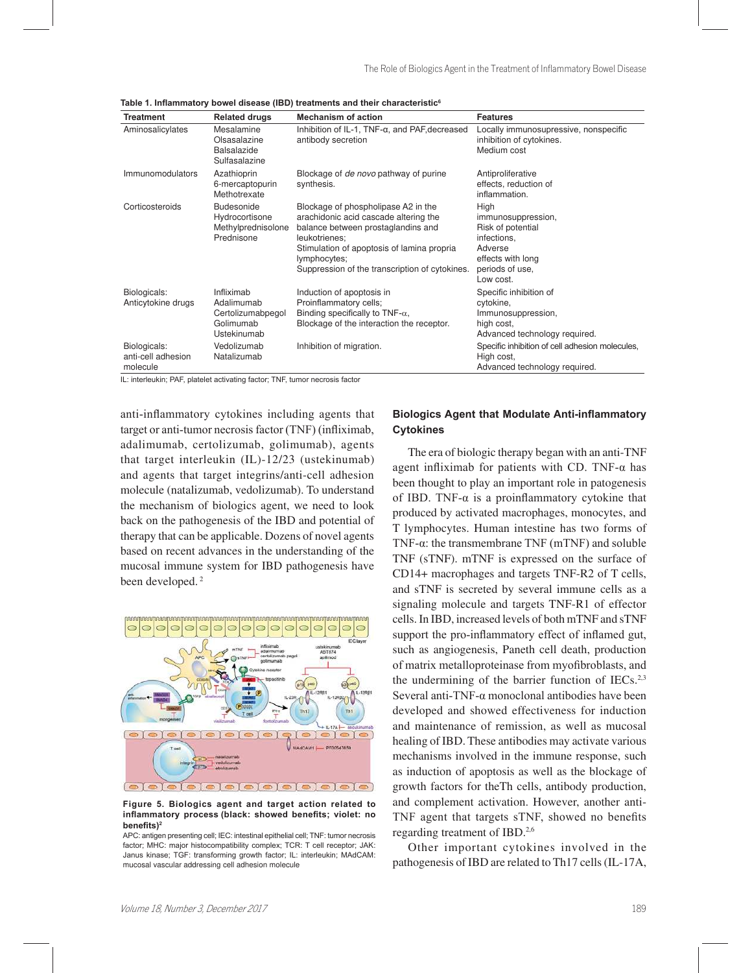| <b>Treatment</b>                               | <b>Related drugs</b>                                                      | <b>Mechanism of action</b>                                                                                                                                                                                                                          | <b>Features</b>                                                                                                                |
|------------------------------------------------|---------------------------------------------------------------------------|-----------------------------------------------------------------------------------------------------------------------------------------------------------------------------------------------------------------------------------------------------|--------------------------------------------------------------------------------------------------------------------------------|
| Aminosalicylates                               | Mesalamine<br>Olsasalazine<br><b>Balsalazide</b><br>Sulfasalazine         | Inhibition of IL-1, TNF-α, and PAF, decreased<br>antibody secretion                                                                                                                                                                                 | Locally immunosupressive, nonspecific<br>inhibition of cytokines.<br>Medium cost                                               |
| <b>Immunomodulators</b>                        | Azathioprin<br>6-mercaptopurin<br>Methotrexate                            | Blockage of <i>de novo</i> pathway of purine<br>synthesis.                                                                                                                                                                                          | Antiproliferative<br>effects, reduction of<br>inflammation.                                                                    |
| Corticosteroids                                | Budesonide<br>Hydrocortisone<br>Methylprednisolone<br>Prednisone          | Blockage of phospholipase A2 in the<br>arachidonic acid cascade altering the<br>balance between prostaglandins and<br>leukotrienes;<br>Stimulation of apoptosis of lamina propria<br>lymphocytes;<br>Suppression of the transcription of cytokines. | High<br>immunosuppression,<br>Risk of potential<br>infections,<br>Adverse<br>effects with long<br>periods of use.<br>Low cost. |
| Biologicals:<br>Anticytokine drugs             | Infliximab<br>Adalimumab<br>Certolizumabpegol<br>Golimumab<br>Ustekinumab | Induction of apoptosis in<br>Proinflammatory cells;<br>Binding specifically to TNF- $\alpha$ ,<br>Blockage of the interaction the receptor.                                                                                                         | Specific inhibition of<br>cytokine,<br>Immunosuppression,<br>high cost.<br>Advanced technology required.                       |
| Biologicals:<br>anti-cell adhesion<br>molecule | Vedolizumab<br>Natalizumab                                                | Inhibition of migration.                                                                                                                                                                                                                            | Specific inhibition of cell adhesion molecules,<br>High cost,<br>Advanced technology required.                                 |

Table 1. Inflammatory bowel disease (IBD) treatments and their characteristic<sup>6</sup>

IL: interleukin; PAF, platelet activating factor; TNF, tumor necrosis factor

anti-inflammatory cytokines including agents that target or anti-tumor necrosis factor (TNF) (infliximab, adalimumab, certolizumab, golimumab), agents that target interleukin (IL)-12/23 (ustekinumab) and agents that target integrins/anti-cell adhesion molecule (natalizumab, vedolizumab). To understand the mechanism of biologics agent, we need to look back on the pathogenesis of the IBD and potential of therapy that can be applicable. Dozens of novel agents based on recent advances in the understanding of the mucosal immune system for IBD pathogenesis have been developed.<sup>2</sup>



Figure 5. Biologics agent and target action related to  $inflammatory process (black: showed benefits; violet: no$ benefits)<sup>2</sup>

APC: antigen presenting cell; IEC: intestinal epithelial cell; TNF: tumor necrosis factor; MHC: major histocompatibility complex; TCR: T cell receptor; JAK: Janus kinase; TGF: transforming growth factor; IL: interleukin; MAdCAM: mucosal vascular addressing cell adhesion molecule

## **Biologics Agent that Modulate Anti-inflammatory Cytokines**

The era of biologic therapy began with an anti-TNF agent infliximab for patients with CD. TNF- $\alpha$  has been thought to play an important role in patogenesis of IBD. TNF- $\alpha$  is a proinflammatory cytokine that produced by activated macrophages, monocytes, and T lymphocytes. Human intestine has two forms of TNF- $\alpha$ : the transmembrane TNF (mTNF) and soluble TNF (sTNF). mTNF is expressed on the surface of CD14+ macrophages and targets TNF-R2 of T cells, and sTNF is secreted by several immune cells as a signaling molecule and targets TNF-R1 of effector cells. In IBD, increased levels of both mTNF and sTNF support the pro-inflammatory effect of inflamed gut, such as angiogenesis, Paneth cell death, production of matrix metalloproteinase from myofibroblasts, and the undermining of the barrier function of IECs. $2,3$ Several anti-TNF- $\alpha$  monoclonal antibodies have been developed and showed effectiveness for induction and maintenance of remission, as well as mucosal healing of IBD. These antibodies may activate various mechanisms involved in the immune response, such as induction of apoptosis as well as the blockage of growth factors for theTh cells, antibody production, and complement activation. However, another anti-TNF agent that targets sTNF, showed no benefits regarding treatment of IBD.2,6

Other important cytokines involved in the pathogenesis of IBD are related to Th17 cells (IL-17A,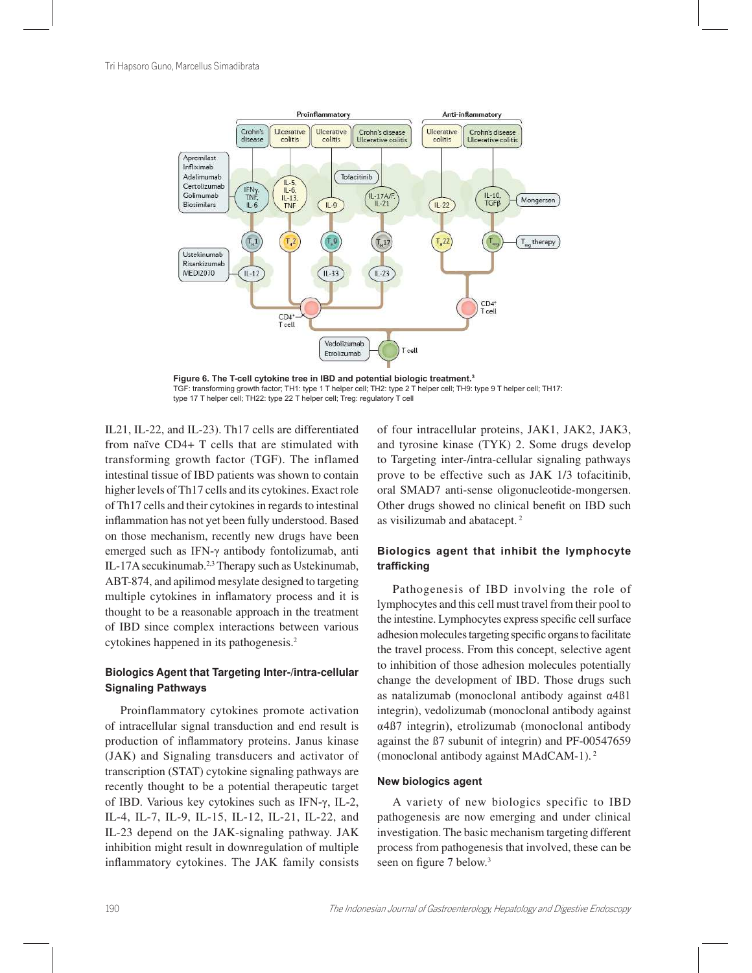

Figure 6. The T-cell cytokine tree in IBD and potential biologic treatment.<sup>3</sup> TGF: transforming growth factor; TH1: type 1 T helper cell; TH2: type 2 T helper cell; TH9: type 9 T helper cell; TH17: type 17 T helper cell; TH22: type 22 T helper cell; Treg: regulatory T cell

IL21, IL-22, and IL-23). Th17 cells are differentiated from naïve CD4+ T cells that are stimulated with transforming growth factor (TGF). The inflamed intestinal tissue of IBD patients was shown to contain higher levels of Th17 cells and its cytokines. Exact role of Th17 cells and their cytokines in regards to intestinal inflammation has not yet been fully understood. Based on those mechanism, recently new drugs have been emerged such as IFN- $\gamma$  antibody fontolizumab, anti IL-17A secukinumab.2,3 Therapy such as Ustekinumab, ABT-874, and apilimod mesylate designed to targeting multiple cytokines in inflamatory process and it is thought to be a reasonable approach in the treatment of IBD since complex interactions between various cytokines happened in its pathogenesis.<sup>2</sup>

# **Biologics Agent that Targeting Inter-/intra-cellular Signaling Pathways**

Proinflammatory cytokines promote activation of intracellular signal transduction and end result is production of inflammatory proteins. Janus kinase (JAK) and Signaling transducers and activator of transcription (STAT) cytokine signaling pathways are recently thought to be a potential therapeutic target of IBD. Various key cytokines such as IFN- $\gamma$ , IL-2, IL-4, IL-7, IL-9, IL-15, IL-12, IL-21, IL-22, and IL-23 depend on the JAK-signaling pathway. JAK inhibition might result in downregulation of multiple inflammatory cytokines. The JAK family consists of four intracellular proteins, JAK1, JAK2, JAK3, and tyrosine kinase (TYK) 2. Some drugs develop to Targeting inter-/intra-cellular signaling pathways prove to be effective such as JAK 1/3 tofacitinib, oral SMAD7 anti-sense oligonucleotide-mongersen. Other drugs showed no clinical benefit on IBD such as visilizumab and abatacept.<sup>2</sup>

# Biologics agent that inhibit the lymphocyte trafficking

Pathogenesis of IBD involving the role of lymphocytes and this cell must travel from their pool to the intestine. Lymphocytes express specific cell surface adhesion molecules targeting specific organs to facilitate the travel process. From this concept, selective agent to inhibition of those adhesion molecules potentially change the development of IBD. Those drugs such as natalizumab (monoclonal antibody against  $\alpha$ 4B1 integrin), vedolizumab (monoclonal antibody against  $\alpha$ 4 $\beta$ 7 integrin), etrolizumab (monoclonal antibody against the ß7 subunit of integrin) and PF-00547659 (monoclonal antibody against MAdCAM-1).<sup>2</sup>

#### **New biologics agent**

A variety of new biologics specific to IBD pathogenesis are now emerging and under clinical investigation. The basic mechanism targeting different process from pathogenesis that involved, these can be seen on figure 7 below.<sup>3</sup>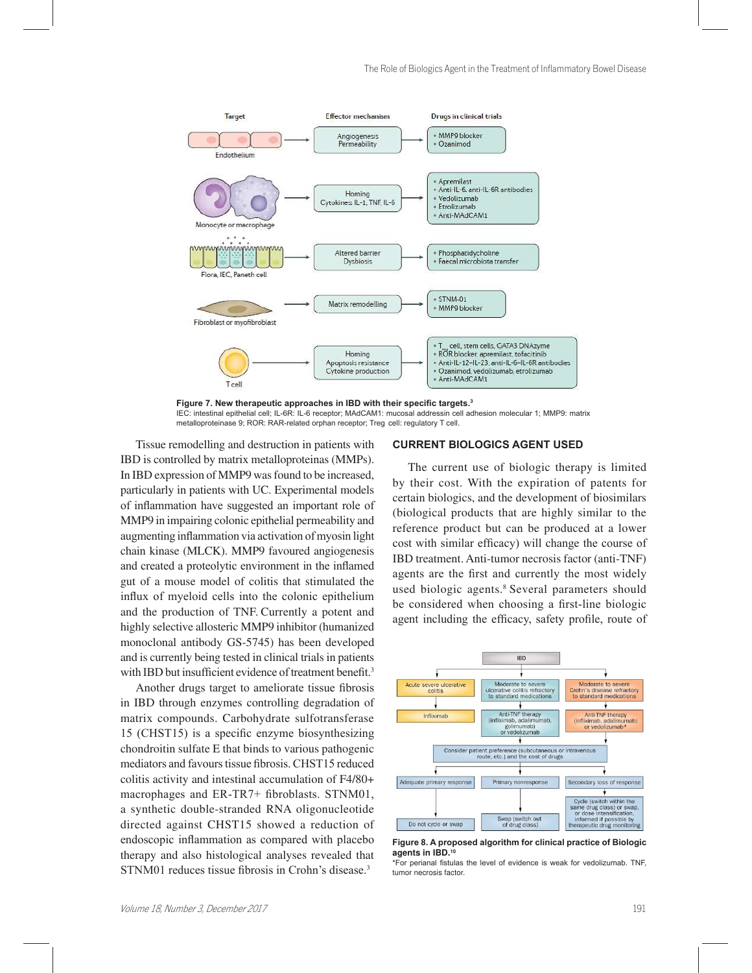

Figure 7. New therapeutic approaches in IBD with their specific targets.<sup>3</sup> IEC; intestinal epithelial cell; IL-6R; IL-6 receptor; MAdCAM1; mucosal addressin cell adhesion molecular 1; MMP9; matrix metalloproteinase 9; ROR: RAR-related orphan receptor; Treg cell: regulatory T cell.

Tissue remodelling and destruction in patients with IBD is controlled by matrix metalloproteinas (MMPs). In IBD expression of MMP9 was found to be increased, particularly in patients with UC. Experimental models of inflammation have suggested an important role of MMP9 in impairing colonic epithelial permeability and augmenting inflammation via activation of myosin light chain kinase (MLCK). MMP9 favoured angiogenesis and created a proteolytic environment in the inflamed gut of a mouse model of colitis that stimulated the influx of myeloid cells into the colonic epithelium and the production of TNF. Currently a potent and highly selective allosteric MMP9 inhibitor (humanized monoclonal antibody GS-5745) has been developed and is currently being tested in clinical trials in patients with IBD but insufficient evidence of treatment benefit.<sup>3</sup>

Another drugs target to ameliorate tissue fibrosis in IBD through enzymes controlling degradation of matrix compounds. Carbohydrate sulfotransferase  $15$  (CHST15) is a specific enzyme biosynthesizing chondroitin sulfate E that binds to various pathogenic mediators and favours tissue fibrosis. CHST15 reduced colitis activity and intestinal accumulation of F4/80+ macrophages and  $ER-TR7+$  fibroblasts. STNM01, a synthetic double-stranded RNA oligonucleotide directed against CHST15 showed a reduction of endoscopic inflammation as compared with placebo therapy and also histological analyses revealed that STNM01 reduces tissue fibrosis in Crohn's disease.<sup>3</sup>

## **CURRENT BIOLOGICS AGENT USED**

The current use of biologic therapy is limited by their cost. With the expiration of patents for certain biologics, and the development of biosimilars (biological products that are highly similar to the reference product but can be produced at a lower cost with similar efficacy) will change the course of IBD treatment. Anti-tumor necrosis factor (anti-TNF) agents are the first and currently the most widely used biologic agents.<sup>8</sup> Several parameters should be considered when choosing a first-line biologic agent including the efficacy, safety profile, route of



Figure 8. A proposed algorithm for clinical practice of Biologic **agents in IBD.<sup>10</sup>**

<sup>\*</sup>For perianal fistulas the level of evidence is weak for vedolizumab. TNF, tumor necrosis factor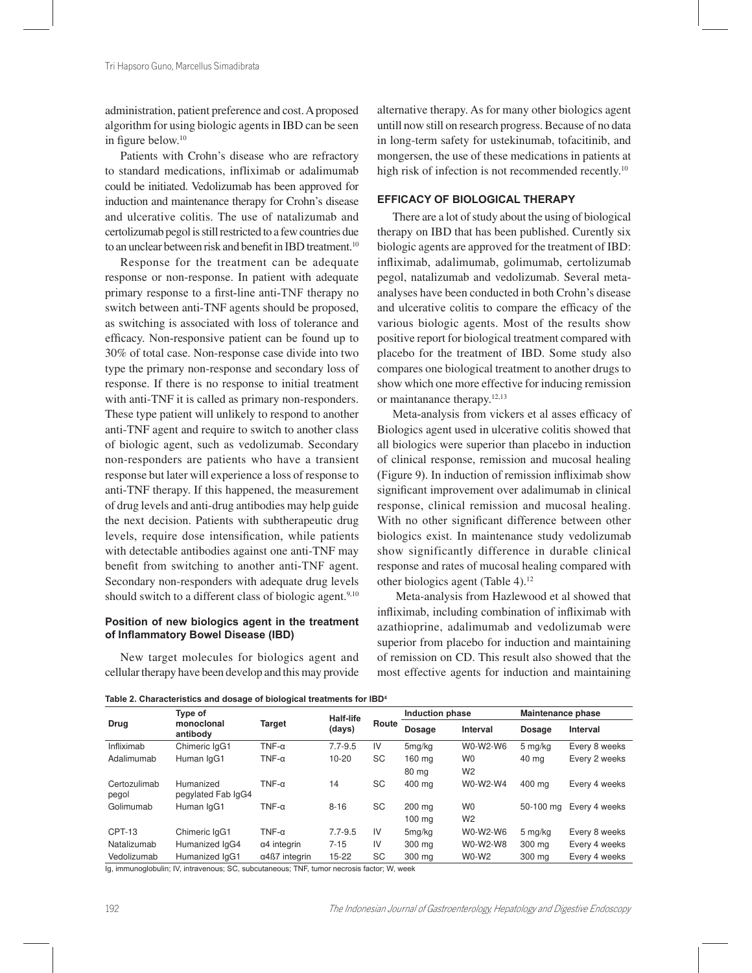administration, patient preference and cost. A proposed algorithm for using biologic agents in IBD can be seen in figure below.<sup>10</sup>

Patients with Crohn's disease who are refractory to standard medications, infliximab or adalimumab could be initiated. Vedolizumab has been approved for induction and maintenance therapy for Crohn's disease and ulcerative colitis. The use of natalizumab and certolizumab pegol is still restricted to a few countries due to an unclear between risk and benefit in IBD treatment.<sup>10</sup>

Response for the treatment can be adequate response or non-response. In patient with adequate primary response to a first-line anti-TNF therapy no switch between anti-TNF agents should be proposed, as switching is associated with loss of tolerance and efficacy. Non-responsive patient can be found up to 30% of total case. Non-response case divide into two type the primary non-response and secondary loss of response. If there is no response to initial treatment with anti-TNF it is called as primary non-responders. These type patient will unlikely to respond to another anti-TNF agent and require to switch to another class of biologic agent, such as vedolizumab. Secondary non-responders are patients who have a transient response but later will experience a loss of response to anti-TNF therapy. If this happened, the measurement of drug levels and anti-drug antibodies may help guide the next decision. Patients with subtherapeutic drug levels, require dose intensification, while patients with detectable antibodies against one anti-TNF may benefit from switching to another anti-TNF agent. Secondary non-responders with adequate drug levels should switch to a different class of biologic agent.<sup>9,10</sup>

## Position of new biologics agent in the treatment of Inflammatory Bowel Disease (IBD)

New target molecules for biologics agent and cellular therapy have been develop and this may provide alternative therapy. As for many other biologics agent untill now still on research progress. Because of no data in long-term safety for ustekinumab, tofacitinib, and mongersen, the use of these medications in patients at high risk of infection is not recommended recently.<sup>10</sup>

#### **EFFICACY OF BIOLOGICAL THERAPY**

There are a lot of study about the using of biological therapy on IBD that has been published. Curently six biologic agents are approved for the treatment of IBD: infliximab, adalimumab, golimumab, certolizumab pegol, natalizumab and vedolizumab. Several metaanalyses have been conducted in both Crohn's disease and ulcerative colitis to compare the efficacy of the various biologic agents. Most of the results show positive report for biological treatment compared with placebo for the treatment of IBD. Some study also compares one biological treatment to another drugs to show which one more effective for inducing remission or maintanance therapy.12,13

Meta-analysis from vickers et al asses efficacy of Biologics agent used in ulcerative colitis showed that all biologics were superior than placebo in induction of clinical response, remission and mucosal healing (Figure 9). In induction of remission infliximab show significant improvement over adalimumab in clinical response, clinical remission and mucosal healing. With no other significant difference between other biologics exist. In maintenance study vedolizumab show significantly difference in durable clinical response and rates of mucosal healing compared with other biologics agent (Table 4).<sup>12</sup>

 Meta-analysis from Hazlewood et al showed that infliximab, including combination of infliximab with azathioprine, adalimumab and vedolizumab were superior from placebo for induction and maintaining of remission on CD. This result also showed that the most effective agents for induction and maintaining

|                       | Type of                         | <b>Target</b>         | Half-life   |           | Induction phase    |                 | Maintenance phase |                 |
|-----------------------|---------------------------------|-----------------------|-------------|-----------|--------------------|-----------------|-------------------|-----------------|
| Drug                  | monoclonal<br>antibody          |                       | (days)      | Route     | Dosage             | <b>Interval</b> | Dosage            | <b>Interval</b> |
| Infliximab            | Chimeric laG1                   | TNF- $\alpha$         | $7.7 - 9.5$ | IV        | 5mg/kg             | W0-W2-W6        | 5 mg/kg           | Every 8 weeks   |
| Adalimumab            | Human lgG1                      | $TNF-\alpha$          | $10 - 20$   | <b>SC</b> | 160 mg             | W <sub>0</sub>  | 40 mg             | Every 2 weeks   |
|                       |                                 |                       |             |           | 80 ma              | W <sub>2</sub>  |                   |                 |
| Certozulimab<br>pegol | Humanized<br>pegylated Fab IgG4 | TNF- $\alpha$         | 14          | SC        | 400 mg             | W0-W2-W4        | 400 mg            | Every 4 weeks   |
| Golimumab             | Human IgG1                      | TNF- $\alpha$         | $8 - 16$    | <b>SC</b> | 200 mg             | W <sub>0</sub>  | 50-100 ma         | Every 4 weeks   |
|                       |                                 |                       |             |           | $100 \text{ mg}$   | W <sub>2</sub>  |                   |                 |
| <b>CPT-13</b>         | Chimeric IgG1                   | TNF- $\alpha$         | $7.7 - 9.5$ | IV        | 5 <sub>mg/kg</sub> | W0-W2-W6        | 5 mg/kg           | Every 8 weeks   |
| Natalizumab           | Humanized IgG4                  | $\alpha$ 4 integrin   | $7 - 15$    | IV        | 300 ma             | W0-W2-W8        | 300 ma            | Every 4 weeks   |
| Vedolizumab           | Humanized lgG1                  | $\alpha$ 4ß7 integrin | $15 - 22$   | SC        | 300 ma             | $W0 - W2$       | 300 ma            | Every 4 weeks   |

**Table 2. Characteristics and dosage of biological treatments for IRD** 

Ig. immunoglobulin: IV. intravenous: SC. subcutaneous: TNF, tumor necrosis factor: W. week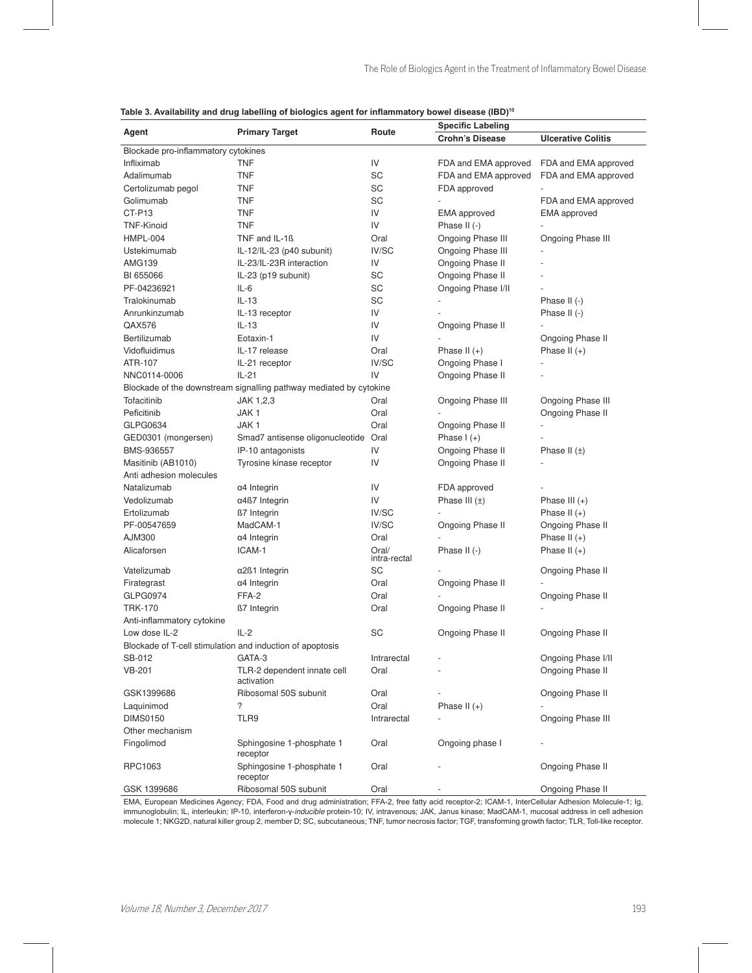| <b>Specific Labeling</b><br><b>Primary Target</b><br>Route<br>Agent<br><b>Crohn's Disease</b><br><b>Ulcerative Colitis</b><br>Blockade pro-inflammatory cytokines<br>IV<br>Infliximab<br>TNF<br>FDA and EMA approved<br>FDA and EMA approved<br>SC<br>Adalimumab<br>TNF<br>FDA and EMA approved<br>FDA and EMA approved<br>SC<br>Certolizumab pegol<br>TNF<br>FDA approved<br>Golimumab<br>TNF<br>SC<br>FDA and EMA approved<br>CT-P13<br>IV<br>TNF<br><b>EMA</b> approved<br><b>EMA</b> approved<br><b>TNF</b><br>IV<br><b>TNF-Kinoid</b><br>Phase II (-)<br>HMPL-004<br>TNF and IL-1ß<br>Ongoing Phase III<br>Ongoing Phase III<br>Oral<br>Ustekimumab<br>IL-12/IL-23 (p40 subunit)<br>IV/SC<br>Ongoing Phase III<br><b>AMG139</b><br>IL-23/IL-23R interaction<br>IV<br>Ongoing Phase II<br>Ongoing Phase II<br>BI 655066<br>IL-23 (p19 subunit)<br>SC<br>IL-6<br>Ongoing Phase I/II<br>PF-04236921<br>SC<br>$IL-13$<br>Tralokinumab<br>SC<br>Phase II $(-)$<br>Anrunkinzumab<br>IL-13 receptor<br>IV<br>Phase II $(-)$<br>QAX576<br>$IL-13$<br>IV<br>Ongoing Phase II<br>IV<br>Bertilizumab<br>Eotaxin-1<br>Ongoing Phase II<br>IL-17 release<br>Vidofluidimus<br>Oral<br>Phase II $(+)$<br>Phase II $(+)$<br>ATR-107<br>IL-21 receptor<br>IV/SC<br>Ongoing Phase I<br>$IL-21$<br>IV<br>Ongoing Phase II<br>NNC0114-0006<br>Blockade of the downstream signalling pathway mediated by cytokine<br>Tofacitinib<br>JAK 1,2,3<br>Ongoing Phase III<br>Ongoing Phase III<br>Oral<br>JAK1<br>Ongoing Phase II<br>Peficitinib<br>Oral<br>JAK <sub>1</sub><br>GLPG0634<br>Oral<br>Ongoing Phase II<br>Phase $I(+)$<br>GED0301 (mongersen)<br>Smad7 antisense oligonucleotide Oral<br>IV<br>Ongoing Phase II<br>BMS-936557<br>IP-10 antagonists<br>Phase II $(\pm)$<br>IV<br>Masitinib (AB1010)<br>Tyrosine kinase receptor<br>Ongoing Phase II<br>Anti adhesion molecules<br>Natalizumab<br>$\alpha$ 4 Integrin<br>IV<br>FDA approved<br>IV<br>Phase III $(\pm)$<br>Vedolizumab<br>$\alpha$ 4ß7 Integrin<br>Phase III $(+)$<br>IV/SC<br>Ertolizumab<br><b>ß7</b> Integrin<br>Phase II $(+)$<br>PF-00547659<br>MadCAM-1<br>IV/SC<br>Ongoing Phase II<br>Ongoing Phase II<br>AJM300<br>Oral<br>Phase II $(+)$<br>$\alpha$ 4 Integrin<br>ICAM-1<br>Alicaforsen<br>Oral/<br>Phase II (-)<br>Phase II $(+)$<br>intra-rectal<br>Vatelizumab<br>SC<br>Ongoing Phase II<br>$\alpha$ 2 $\beta$ 1 Integrin<br>α4 Integrin<br>Ongoing Phase II<br>Firategrast<br>Oral<br><b>GLPG0974</b><br>FFA-2<br>Oral<br>Ongoing Phase II<br><b>TRK-170</b><br><b>ß7</b> Integrin<br>Oral<br>Ongoing Phase II<br>Anti-inflammatory cytokine<br>$IL-2$<br>SC<br>Low dose IL-2<br>Ongoing Phase II<br>Ongoing Phase II<br>Blockade of T-cell stimulation and induction of apoptosis<br>GATA-3<br>Intrarectal<br>Ongoing Phase I/II<br>SB-012<br><b>VB-201</b><br>TLR-2 dependent innate cell<br>Ongoing Phase II<br>Oral<br>activation<br>Ribosomal 50S subunit<br>Ongoing Phase II<br>GSK1399686<br>Oral<br>?<br>Phase II $(+)$<br>Laquinimod<br>Oral<br><b>DIMS0150</b><br>TLR9<br>Ongoing Phase III<br>Intrarectal<br>Other mechanism<br>Fingolimod<br>Sphingosine 1-phosphate 1<br>Oral<br>Ongoing phase I<br>receptor<br>Ongoing Phase II<br>RPC1063<br>Sphingosine 1-phosphate 1<br>Oral<br>receptor<br>GSK 1399686<br>Ribosomal 50S subunit<br>Oral<br>Ongoing Phase II | Table 3. Availability and drug labelling of biologics agent for inflammatory bowel disease (IBD)" |  |  |  |  |  |  |
|---------------------------------------------------------------------------------------------------------------------------------------------------------------------------------------------------------------------------------------------------------------------------------------------------------------------------------------------------------------------------------------------------------------------------------------------------------------------------------------------------------------------------------------------------------------------------------------------------------------------------------------------------------------------------------------------------------------------------------------------------------------------------------------------------------------------------------------------------------------------------------------------------------------------------------------------------------------------------------------------------------------------------------------------------------------------------------------------------------------------------------------------------------------------------------------------------------------------------------------------------------------------------------------------------------------------------------------------------------------------------------------------------------------------------------------------------------------------------------------------------------------------------------------------------------------------------------------------------------------------------------------------------------------------------------------------------------------------------------------------------------------------------------------------------------------------------------------------------------------------------------------------------------------------------------------------------------------------------------------------------------------------------------------------------------------------------------------------------------------------------------------------------------------------------------------------------------------------------------------------------------------------------------------------------------------------------------------------------------------------------------------------------------------------------------------------------------------------------------------------------------------------------------------------------------------------------------------------------------------------------------------------------------------------------------------------------------------------------------------------------------------------------------------------------------------------------------------------------------------------------------------------------------------------------------------------------------------------------------------------------------------------------------------------------------------------------------------------------------------------------------------------------------------------------------------------------------------------------------------------------------------------------------------------------------------------------------------------------|---------------------------------------------------------------------------------------------------|--|--|--|--|--|--|
|                                                                                                                                                                                                                                                                                                                                                                                                                                                                                                                                                                                                                                                                                                                                                                                                                                                                                                                                                                                                                                                                                                                                                                                                                                                                                                                                                                                                                                                                                                                                                                                                                                                                                                                                                                                                                                                                                                                                                                                                                                                                                                                                                                                                                                                                                                                                                                                                                                                                                                                                                                                                                                                                                                                                                                                                                                                                                                                                                                                                                                                                                                                                                                                                                                                                                                                                                   |                                                                                                   |  |  |  |  |  |  |
|                                                                                                                                                                                                                                                                                                                                                                                                                                                                                                                                                                                                                                                                                                                                                                                                                                                                                                                                                                                                                                                                                                                                                                                                                                                                                                                                                                                                                                                                                                                                                                                                                                                                                                                                                                                                                                                                                                                                                                                                                                                                                                                                                                                                                                                                                                                                                                                                                                                                                                                                                                                                                                                                                                                                                                                                                                                                                                                                                                                                                                                                                                                                                                                                                                                                                                                                                   |                                                                                                   |  |  |  |  |  |  |
|                                                                                                                                                                                                                                                                                                                                                                                                                                                                                                                                                                                                                                                                                                                                                                                                                                                                                                                                                                                                                                                                                                                                                                                                                                                                                                                                                                                                                                                                                                                                                                                                                                                                                                                                                                                                                                                                                                                                                                                                                                                                                                                                                                                                                                                                                                                                                                                                                                                                                                                                                                                                                                                                                                                                                                                                                                                                                                                                                                                                                                                                                                                                                                                                                                                                                                                                                   |                                                                                                   |  |  |  |  |  |  |
|                                                                                                                                                                                                                                                                                                                                                                                                                                                                                                                                                                                                                                                                                                                                                                                                                                                                                                                                                                                                                                                                                                                                                                                                                                                                                                                                                                                                                                                                                                                                                                                                                                                                                                                                                                                                                                                                                                                                                                                                                                                                                                                                                                                                                                                                                                                                                                                                                                                                                                                                                                                                                                                                                                                                                                                                                                                                                                                                                                                                                                                                                                                                                                                                                                                                                                                                                   |                                                                                                   |  |  |  |  |  |  |
|                                                                                                                                                                                                                                                                                                                                                                                                                                                                                                                                                                                                                                                                                                                                                                                                                                                                                                                                                                                                                                                                                                                                                                                                                                                                                                                                                                                                                                                                                                                                                                                                                                                                                                                                                                                                                                                                                                                                                                                                                                                                                                                                                                                                                                                                                                                                                                                                                                                                                                                                                                                                                                                                                                                                                                                                                                                                                                                                                                                                                                                                                                                                                                                                                                                                                                                                                   |                                                                                                   |  |  |  |  |  |  |
|                                                                                                                                                                                                                                                                                                                                                                                                                                                                                                                                                                                                                                                                                                                                                                                                                                                                                                                                                                                                                                                                                                                                                                                                                                                                                                                                                                                                                                                                                                                                                                                                                                                                                                                                                                                                                                                                                                                                                                                                                                                                                                                                                                                                                                                                                                                                                                                                                                                                                                                                                                                                                                                                                                                                                                                                                                                                                                                                                                                                                                                                                                                                                                                                                                                                                                                                                   |                                                                                                   |  |  |  |  |  |  |
|                                                                                                                                                                                                                                                                                                                                                                                                                                                                                                                                                                                                                                                                                                                                                                                                                                                                                                                                                                                                                                                                                                                                                                                                                                                                                                                                                                                                                                                                                                                                                                                                                                                                                                                                                                                                                                                                                                                                                                                                                                                                                                                                                                                                                                                                                                                                                                                                                                                                                                                                                                                                                                                                                                                                                                                                                                                                                                                                                                                                                                                                                                                                                                                                                                                                                                                                                   |                                                                                                   |  |  |  |  |  |  |
|                                                                                                                                                                                                                                                                                                                                                                                                                                                                                                                                                                                                                                                                                                                                                                                                                                                                                                                                                                                                                                                                                                                                                                                                                                                                                                                                                                                                                                                                                                                                                                                                                                                                                                                                                                                                                                                                                                                                                                                                                                                                                                                                                                                                                                                                                                                                                                                                                                                                                                                                                                                                                                                                                                                                                                                                                                                                                                                                                                                                                                                                                                                                                                                                                                                                                                                                                   |                                                                                                   |  |  |  |  |  |  |
|                                                                                                                                                                                                                                                                                                                                                                                                                                                                                                                                                                                                                                                                                                                                                                                                                                                                                                                                                                                                                                                                                                                                                                                                                                                                                                                                                                                                                                                                                                                                                                                                                                                                                                                                                                                                                                                                                                                                                                                                                                                                                                                                                                                                                                                                                                                                                                                                                                                                                                                                                                                                                                                                                                                                                                                                                                                                                                                                                                                                                                                                                                                                                                                                                                                                                                                                                   |                                                                                                   |  |  |  |  |  |  |
|                                                                                                                                                                                                                                                                                                                                                                                                                                                                                                                                                                                                                                                                                                                                                                                                                                                                                                                                                                                                                                                                                                                                                                                                                                                                                                                                                                                                                                                                                                                                                                                                                                                                                                                                                                                                                                                                                                                                                                                                                                                                                                                                                                                                                                                                                                                                                                                                                                                                                                                                                                                                                                                                                                                                                                                                                                                                                                                                                                                                                                                                                                                                                                                                                                                                                                                                                   |                                                                                                   |  |  |  |  |  |  |
|                                                                                                                                                                                                                                                                                                                                                                                                                                                                                                                                                                                                                                                                                                                                                                                                                                                                                                                                                                                                                                                                                                                                                                                                                                                                                                                                                                                                                                                                                                                                                                                                                                                                                                                                                                                                                                                                                                                                                                                                                                                                                                                                                                                                                                                                                                                                                                                                                                                                                                                                                                                                                                                                                                                                                                                                                                                                                                                                                                                                                                                                                                                                                                                                                                                                                                                                                   |                                                                                                   |  |  |  |  |  |  |
|                                                                                                                                                                                                                                                                                                                                                                                                                                                                                                                                                                                                                                                                                                                                                                                                                                                                                                                                                                                                                                                                                                                                                                                                                                                                                                                                                                                                                                                                                                                                                                                                                                                                                                                                                                                                                                                                                                                                                                                                                                                                                                                                                                                                                                                                                                                                                                                                                                                                                                                                                                                                                                                                                                                                                                                                                                                                                                                                                                                                                                                                                                                                                                                                                                                                                                                                                   |                                                                                                   |  |  |  |  |  |  |
|                                                                                                                                                                                                                                                                                                                                                                                                                                                                                                                                                                                                                                                                                                                                                                                                                                                                                                                                                                                                                                                                                                                                                                                                                                                                                                                                                                                                                                                                                                                                                                                                                                                                                                                                                                                                                                                                                                                                                                                                                                                                                                                                                                                                                                                                                                                                                                                                                                                                                                                                                                                                                                                                                                                                                                                                                                                                                                                                                                                                                                                                                                                                                                                                                                                                                                                                                   |                                                                                                   |  |  |  |  |  |  |
|                                                                                                                                                                                                                                                                                                                                                                                                                                                                                                                                                                                                                                                                                                                                                                                                                                                                                                                                                                                                                                                                                                                                                                                                                                                                                                                                                                                                                                                                                                                                                                                                                                                                                                                                                                                                                                                                                                                                                                                                                                                                                                                                                                                                                                                                                                                                                                                                                                                                                                                                                                                                                                                                                                                                                                                                                                                                                                                                                                                                                                                                                                                                                                                                                                                                                                                                                   |                                                                                                   |  |  |  |  |  |  |
|                                                                                                                                                                                                                                                                                                                                                                                                                                                                                                                                                                                                                                                                                                                                                                                                                                                                                                                                                                                                                                                                                                                                                                                                                                                                                                                                                                                                                                                                                                                                                                                                                                                                                                                                                                                                                                                                                                                                                                                                                                                                                                                                                                                                                                                                                                                                                                                                                                                                                                                                                                                                                                                                                                                                                                                                                                                                                                                                                                                                                                                                                                                                                                                                                                                                                                                                                   |                                                                                                   |  |  |  |  |  |  |
|                                                                                                                                                                                                                                                                                                                                                                                                                                                                                                                                                                                                                                                                                                                                                                                                                                                                                                                                                                                                                                                                                                                                                                                                                                                                                                                                                                                                                                                                                                                                                                                                                                                                                                                                                                                                                                                                                                                                                                                                                                                                                                                                                                                                                                                                                                                                                                                                                                                                                                                                                                                                                                                                                                                                                                                                                                                                                                                                                                                                                                                                                                                                                                                                                                                                                                                                                   |                                                                                                   |  |  |  |  |  |  |
|                                                                                                                                                                                                                                                                                                                                                                                                                                                                                                                                                                                                                                                                                                                                                                                                                                                                                                                                                                                                                                                                                                                                                                                                                                                                                                                                                                                                                                                                                                                                                                                                                                                                                                                                                                                                                                                                                                                                                                                                                                                                                                                                                                                                                                                                                                                                                                                                                                                                                                                                                                                                                                                                                                                                                                                                                                                                                                                                                                                                                                                                                                                                                                                                                                                                                                                                                   |                                                                                                   |  |  |  |  |  |  |
|                                                                                                                                                                                                                                                                                                                                                                                                                                                                                                                                                                                                                                                                                                                                                                                                                                                                                                                                                                                                                                                                                                                                                                                                                                                                                                                                                                                                                                                                                                                                                                                                                                                                                                                                                                                                                                                                                                                                                                                                                                                                                                                                                                                                                                                                                                                                                                                                                                                                                                                                                                                                                                                                                                                                                                                                                                                                                                                                                                                                                                                                                                                                                                                                                                                                                                                                                   |                                                                                                   |  |  |  |  |  |  |
|                                                                                                                                                                                                                                                                                                                                                                                                                                                                                                                                                                                                                                                                                                                                                                                                                                                                                                                                                                                                                                                                                                                                                                                                                                                                                                                                                                                                                                                                                                                                                                                                                                                                                                                                                                                                                                                                                                                                                                                                                                                                                                                                                                                                                                                                                                                                                                                                                                                                                                                                                                                                                                                                                                                                                                                                                                                                                                                                                                                                                                                                                                                                                                                                                                                                                                                                                   |                                                                                                   |  |  |  |  |  |  |
|                                                                                                                                                                                                                                                                                                                                                                                                                                                                                                                                                                                                                                                                                                                                                                                                                                                                                                                                                                                                                                                                                                                                                                                                                                                                                                                                                                                                                                                                                                                                                                                                                                                                                                                                                                                                                                                                                                                                                                                                                                                                                                                                                                                                                                                                                                                                                                                                                                                                                                                                                                                                                                                                                                                                                                                                                                                                                                                                                                                                                                                                                                                                                                                                                                                                                                                                                   |                                                                                                   |  |  |  |  |  |  |
|                                                                                                                                                                                                                                                                                                                                                                                                                                                                                                                                                                                                                                                                                                                                                                                                                                                                                                                                                                                                                                                                                                                                                                                                                                                                                                                                                                                                                                                                                                                                                                                                                                                                                                                                                                                                                                                                                                                                                                                                                                                                                                                                                                                                                                                                                                                                                                                                                                                                                                                                                                                                                                                                                                                                                                                                                                                                                                                                                                                                                                                                                                                                                                                                                                                                                                                                                   |                                                                                                   |  |  |  |  |  |  |
|                                                                                                                                                                                                                                                                                                                                                                                                                                                                                                                                                                                                                                                                                                                                                                                                                                                                                                                                                                                                                                                                                                                                                                                                                                                                                                                                                                                                                                                                                                                                                                                                                                                                                                                                                                                                                                                                                                                                                                                                                                                                                                                                                                                                                                                                                                                                                                                                                                                                                                                                                                                                                                                                                                                                                                                                                                                                                                                                                                                                                                                                                                                                                                                                                                                                                                                                                   |                                                                                                   |  |  |  |  |  |  |
|                                                                                                                                                                                                                                                                                                                                                                                                                                                                                                                                                                                                                                                                                                                                                                                                                                                                                                                                                                                                                                                                                                                                                                                                                                                                                                                                                                                                                                                                                                                                                                                                                                                                                                                                                                                                                                                                                                                                                                                                                                                                                                                                                                                                                                                                                                                                                                                                                                                                                                                                                                                                                                                                                                                                                                                                                                                                                                                                                                                                                                                                                                                                                                                                                                                                                                                                                   |                                                                                                   |  |  |  |  |  |  |
|                                                                                                                                                                                                                                                                                                                                                                                                                                                                                                                                                                                                                                                                                                                                                                                                                                                                                                                                                                                                                                                                                                                                                                                                                                                                                                                                                                                                                                                                                                                                                                                                                                                                                                                                                                                                                                                                                                                                                                                                                                                                                                                                                                                                                                                                                                                                                                                                                                                                                                                                                                                                                                                                                                                                                                                                                                                                                                                                                                                                                                                                                                                                                                                                                                                                                                                                                   |                                                                                                   |  |  |  |  |  |  |
|                                                                                                                                                                                                                                                                                                                                                                                                                                                                                                                                                                                                                                                                                                                                                                                                                                                                                                                                                                                                                                                                                                                                                                                                                                                                                                                                                                                                                                                                                                                                                                                                                                                                                                                                                                                                                                                                                                                                                                                                                                                                                                                                                                                                                                                                                                                                                                                                                                                                                                                                                                                                                                                                                                                                                                                                                                                                                                                                                                                                                                                                                                                                                                                                                                                                                                                                                   |                                                                                                   |  |  |  |  |  |  |
|                                                                                                                                                                                                                                                                                                                                                                                                                                                                                                                                                                                                                                                                                                                                                                                                                                                                                                                                                                                                                                                                                                                                                                                                                                                                                                                                                                                                                                                                                                                                                                                                                                                                                                                                                                                                                                                                                                                                                                                                                                                                                                                                                                                                                                                                                                                                                                                                                                                                                                                                                                                                                                                                                                                                                                                                                                                                                                                                                                                                                                                                                                                                                                                                                                                                                                                                                   |                                                                                                   |  |  |  |  |  |  |
|                                                                                                                                                                                                                                                                                                                                                                                                                                                                                                                                                                                                                                                                                                                                                                                                                                                                                                                                                                                                                                                                                                                                                                                                                                                                                                                                                                                                                                                                                                                                                                                                                                                                                                                                                                                                                                                                                                                                                                                                                                                                                                                                                                                                                                                                                                                                                                                                                                                                                                                                                                                                                                                                                                                                                                                                                                                                                                                                                                                                                                                                                                                                                                                                                                                                                                                                                   |                                                                                                   |  |  |  |  |  |  |
|                                                                                                                                                                                                                                                                                                                                                                                                                                                                                                                                                                                                                                                                                                                                                                                                                                                                                                                                                                                                                                                                                                                                                                                                                                                                                                                                                                                                                                                                                                                                                                                                                                                                                                                                                                                                                                                                                                                                                                                                                                                                                                                                                                                                                                                                                                                                                                                                                                                                                                                                                                                                                                                                                                                                                                                                                                                                                                                                                                                                                                                                                                                                                                                                                                                                                                                                                   |                                                                                                   |  |  |  |  |  |  |
|                                                                                                                                                                                                                                                                                                                                                                                                                                                                                                                                                                                                                                                                                                                                                                                                                                                                                                                                                                                                                                                                                                                                                                                                                                                                                                                                                                                                                                                                                                                                                                                                                                                                                                                                                                                                                                                                                                                                                                                                                                                                                                                                                                                                                                                                                                                                                                                                                                                                                                                                                                                                                                                                                                                                                                                                                                                                                                                                                                                                                                                                                                                                                                                                                                                                                                                                                   |                                                                                                   |  |  |  |  |  |  |
|                                                                                                                                                                                                                                                                                                                                                                                                                                                                                                                                                                                                                                                                                                                                                                                                                                                                                                                                                                                                                                                                                                                                                                                                                                                                                                                                                                                                                                                                                                                                                                                                                                                                                                                                                                                                                                                                                                                                                                                                                                                                                                                                                                                                                                                                                                                                                                                                                                                                                                                                                                                                                                                                                                                                                                                                                                                                                                                                                                                                                                                                                                                                                                                                                                                                                                                                                   |                                                                                                   |  |  |  |  |  |  |
|                                                                                                                                                                                                                                                                                                                                                                                                                                                                                                                                                                                                                                                                                                                                                                                                                                                                                                                                                                                                                                                                                                                                                                                                                                                                                                                                                                                                                                                                                                                                                                                                                                                                                                                                                                                                                                                                                                                                                                                                                                                                                                                                                                                                                                                                                                                                                                                                                                                                                                                                                                                                                                                                                                                                                                                                                                                                                                                                                                                                                                                                                                                                                                                                                                                                                                                                                   |                                                                                                   |  |  |  |  |  |  |
|                                                                                                                                                                                                                                                                                                                                                                                                                                                                                                                                                                                                                                                                                                                                                                                                                                                                                                                                                                                                                                                                                                                                                                                                                                                                                                                                                                                                                                                                                                                                                                                                                                                                                                                                                                                                                                                                                                                                                                                                                                                                                                                                                                                                                                                                                                                                                                                                                                                                                                                                                                                                                                                                                                                                                                                                                                                                                                                                                                                                                                                                                                                                                                                                                                                                                                                                                   |                                                                                                   |  |  |  |  |  |  |
|                                                                                                                                                                                                                                                                                                                                                                                                                                                                                                                                                                                                                                                                                                                                                                                                                                                                                                                                                                                                                                                                                                                                                                                                                                                                                                                                                                                                                                                                                                                                                                                                                                                                                                                                                                                                                                                                                                                                                                                                                                                                                                                                                                                                                                                                                                                                                                                                                                                                                                                                                                                                                                                                                                                                                                                                                                                                                                                                                                                                                                                                                                                                                                                                                                                                                                                                                   |                                                                                                   |  |  |  |  |  |  |
|                                                                                                                                                                                                                                                                                                                                                                                                                                                                                                                                                                                                                                                                                                                                                                                                                                                                                                                                                                                                                                                                                                                                                                                                                                                                                                                                                                                                                                                                                                                                                                                                                                                                                                                                                                                                                                                                                                                                                                                                                                                                                                                                                                                                                                                                                                                                                                                                                                                                                                                                                                                                                                                                                                                                                                                                                                                                                                                                                                                                                                                                                                                                                                                                                                                                                                                                                   |                                                                                                   |  |  |  |  |  |  |
|                                                                                                                                                                                                                                                                                                                                                                                                                                                                                                                                                                                                                                                                                                                                                                                                                                                                                                                                                                                                                                                                                                                                                                                                                                                                                                                                                                                                                                                                                                                                                                                                                                                                                                                                                                                                                                                                                                                                                                                                                                                                                                                                                                                                                                                                                                                                                                                                                                                                                                                                                                                                                                                                                                                                                                                                                                                                                                                                                                                                                                                                                                                                                                                                                                                                                                                                                   |                                                                                                   |  |  |  |  |  |  |
|                                                                                                                                                                                                                                                                                                                                                                                                                                                                                                                                                                                                                                                                                                                                                                                                                                                                                                                                                                                                                                                                                                                                                                                                                                                                                                                                                                                                                                                                                                                                                                                                                                                                                                                                                                                                                                                                                                                                                                                                                                                                                                                                                                                                                                                                                                                                                                                                                                                                                                                                                                                                                                                                                                                                                                                                                                                                                                                                                                                                                                                                                                                                                                                                                                                                                                                                                   |                                                                                                   |  |  |  |  |  |  |
|                                                                                                                                                                                                                                                                                                                                                                                                                                                                                                                                                                                                                                                                                                                                                                                                                                                                                                                                                                                                                                                                                                                                                                                                                                                                                                                                                                                                                                                                                                                                                                                                                                                                                                                                                                                                                                                                                                                                                                                                                                                                                                                                                                                                                                                                                                                                                                                                                                                                                                                                                                                                                                                                                                                                                                                                                                                                                                                                                                                                                                                                                                                                                                                                                                                                                                                                                   |                                                                                                   |  |  |  |  |  |  |
|                                                                                                                                                                                                                                                                                                                                                                                                                                                                                                                                                                                                                                                                                                                                                                                                                                                                                                                                                                                                                                                                                                                                                                                                                                                                                                                                                                                                                                                                                                                                                                                                                                                                                                                                                                                                                                                                                                                                                                                                                                                                                                                                                                                                                                                                                                                                                                                                                                                                                                                                                                                                                                                                                                                                                                                                                                                                                                                                                                                                                                                                                                                                                                                                                                                                                                                                                   |                                                                                                   |  |  |  |  |  |  |
|                                                                                                                                                                                                                                                                                                                                                                                                                                                                                                                                                                                                                                                                                                                                                                                                                                                                                                                                                                                                                                                                                                                                                                                                                                                                                                                                                                                                                                                                                                                                                                                                                                                                                                                                                                                                                                                                                                                                                                                                                                                                                                                                                                                                                                                                                                                                                                                                                                                                                                                                                                                                                                                                                                                                                                                                                                                                                                                                                                                                                                                                                                                                                                                                                                                                                                                                                   |                                                                                                   |  |  |  |  |  |  |
|                                                                                                                                                                                                                                                                                                                                                                                                                                                                                                                                                                                                                                                                                                                                                                                                                                                                                                                                                                                                                                                                                                                                                                                                                                                                                                                                                                                                                                                                                                                                                                                                                                                                                                                                                                                                                                                                                                                                                                                                                                                                                                                                                                                                                                                                                                                                                                                                                                                                                                                                                                                                                                                                                                                                                                                                                                                                                                                                                                                                                                                                                                                                                                                                                                                                                                                                                   |                                                                                                   |  |  |  |  |  |  |
|                                                                                                                                                                                                                                                                                                                                                                                                                                                                                                                                                                                                                                                                                                                                                                                                                                                                                                                                                                                                                                                                                                                                                                                                                                                                                                                                                                                                                                                                                                                                                                                                                                                                                                                                                                                                                                                                                                                                                                                                                                                                                                                                                                                                                                                                                                                                                                                                                                                                                                                                                                                                                                                                                                                                                                                                                                                                                                                                                                                                                                                                                                                                                                                                                                                                                                                                                   |                                                                                                   |  |  |  |  |  |  |
|                                                                                                                                                                                                                                                                                                                                                                                                                                                                                                                                                                                                                                                                                                                                                                                                                                                                                                                                                                                                                                                                                                                                                                                                                                                                                                                                                                                                                                                                                                                                                                                                                                                                                                                                                                                                                                                                                                                                                                                                                                                                                                                                                                                                                                                                                                                                                                                                                                                                                                                                                                                                                                                                                                                                                                                                                                                                                                                                                                                                                                                                                                                                                                                                                                                                                                                                                   |                                                                                                   |  |  |  |  |  |  |
|                                                                                                                                                                                                                                                                                                                                                                                                                                                                                                                                                                                                                                                                                                                                                                                                                                                                                                                                                                                                                                                                                                                                                                                                                                                                                                                                                                                                                                                                                                                                                                                                                                                                                                                                                                                                                                                                                                                                                                                                                                                                                                                                                                                                                                                                                                                                                                                                                                                                                                                                                                                                                                                                                                                                                                                                                                                                                                                                                                                                                                                                                                                                                                                                                                                                                                                                                   |                                                                                                   |  |  |  |  |  |  |
|                                                                                                                                                                                                                                                                                                                                                                                                                                                                                                                                                                                                                                                                                                                                                                                                                                                                                                                                                                                                                                                                                                                                                                                                                                                                                                                                                                                                                                                                                                                                                                                                                                                                                                                                                                                                                                                                                                                                                                                                                                                                                                                                                                                                                                                                                                                                                                                                                                                                                                                                                                                                                                                                                                                                                                                                                                                                                                                                                                                                                                                                                                                                                                                                                                                                                                                                                   |                                                                                                   |  |  |  |  |  |  |
|                                                                                                                                                                                                                                                                                                                                                                                                                                                                                                                                                                                                                                                                                                                                                                                                                                                                                                                                                                                                                                                                                                                                                                                                                                                                                                                                                                                                                                                                                                                                                                                                                                                                                                                                                                                                                                                                                                                                                                                                                                                                                                                                                                                                                                                                                                                                                                                                                                                                                                                                                                                                                                                                                                                                                                                                                                                                                                                                                                                                                                                                                                                                                                                                                                                                                                                                                   |                                                                                                   |  |  |  |  |  |  |
|                                                                                                                                                                                                                                                                                                                                                                                                                                                                                                                                                                                                                                                                                                                                                                                                                                                                                                                                                                                                                                                                                                                                                                                                                                                                                                                                                                                                                                                                                                                                                                                                                                                                                                                                                                                                                                                                                                                                                                                                                                                                                                                                                                                                                                                                                                                                                                                                                                                                                                                                                                                                                                                                                                                                                                                                                                                                                                                                                                                                                                                                                                                                                                                                                                                                                                                                                   |                                                                                                   |  |  |  |  |  |  |
|                                                                                                                                                                                                                                                                                                                                                                                                                                                                                                                                                                                                                                                                                                                                                                                                                                                                                                                                                                                                                                                                                                                                                                                                                                                                                                                                                                                                                                                                                                                                                                                                                                                                                                                                                                                                                                                                                                                                                                                                                                                                                                                                                                                                                                                                                                                                                                                                                                                                                                                                                                                                                                                                                                                                                                                                                                                                                                                                                                                                                                                                                                                                                                                                                                                                                                                                                   |                                                                                                   |  |  |  |  |  |  |
|                                                                                                                                                                                                                                                                                                                                                                                                                                                                                                                                                                                                                                                                                                                                                                                                                                                                                                                                                                                                                                                                                                                                                                                                                                                                                                                                                                                                                                                                                                                                                                                                                                                                                                                                                                                                                                                                                                                                                                                                                                                                                                                                                                                                                                                                                                                                                                                                                                                                                                                                                                                                                                                                                                                                                                                                                                                                                                                                                                                                                                                                                                                                                                                                                                                                                                                                                   |                                                                                                   |  |  |  |  |  |  |
|                                                                                                                                                                                                                                                                                                                                                                                                                                                                                                                                                                                                                                                                                                                                                                                                                                                                                                                                                                                                                                                                                                                                                                                                                                                                                                                                                                                                                                                                                                                                                                                                                                                                                                                                                                                                                                                                                                                                                                                                                                                                                                                                                                                                                                                                                                                                                                                                                                                                                                                                                                                                                                                                                                                                                                                                                                                                                                                                                                                                                                                                                                                                                                                                                                                                                                                                                   |                                                                                                   |  |  |  |  |  |  |
|                                                                                                                                                                                                                                                                                                                                                                                                                                                                                                                                                                                                                                                                                                                                                                                                                                                                                                                                                                                                                                                                                                                                                                                                                                                                                                                                                                                                                                                                                                                                                                                                                                                                                                                                                                                                                                                                                                                                                                                                                                                                                                                                                                                                                                                                                                                                                                                                                                                                                                                                                                                                                                                                                                                                                                                                                                                                                                                                                                                                                                                                                                                                                                                                                                                                                                                                                   |                                                                                                   |  |  |  |  |  |  |

|  |  |  |  | Table 3. Availability and drug labelling of biologics agent for inflammatory bowel disease (IBD)'º |  |  |  |
|--|--|--|--|----------------------------------------------------------------------------------------------------|--|--|--|
|--|--|--|--|----------------------------------------------------------------------------------------------------|--|--|--|

EMA, European Medicines Agency; FDA, Food and drug administration; FFA-2, free fatty acid receptor-2; ICAM-1, InterCellular Adhesion Molecule-1; Ig,<br>immunoglobulin; IL, interleukin; IP-10, interferon-γ-*inducible* protein-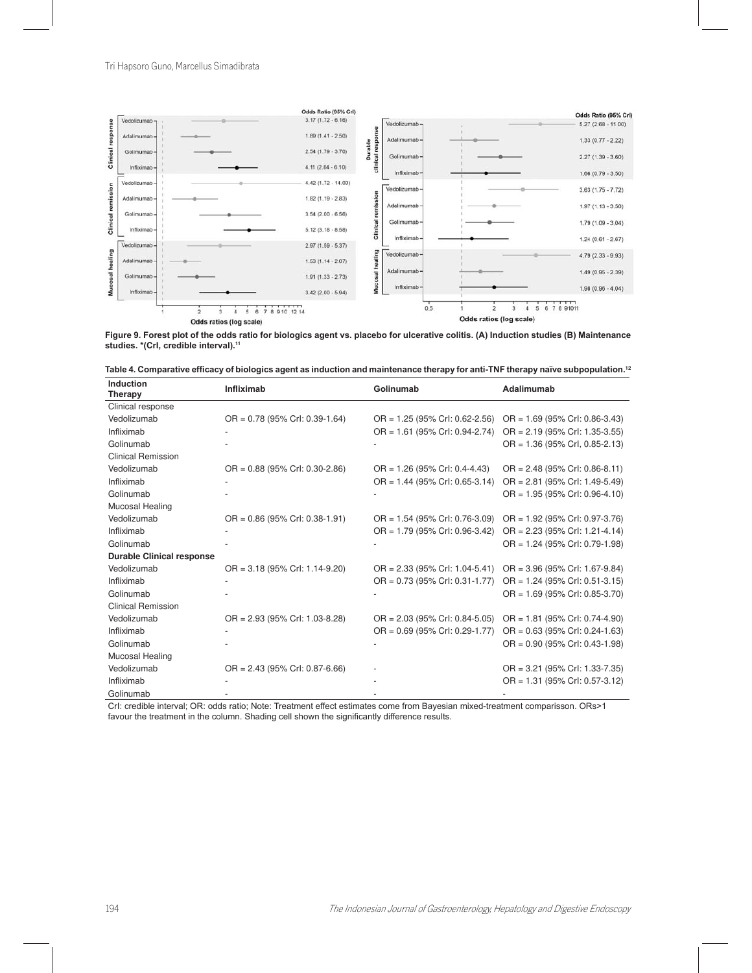

Figure 9. Forest plot of the odds ratio for biologics agent vs. placebo for ulcerative colitis. (A) Induction studies (B) Maintenance **studies. \*(CrI, credible interval).**11

|  |  | Table 4. Comparative efficacy of biologics agent as induction and maintenance therapy for anti-TNF therapy naïve subpopulation.12 |  |  |
|--|--|-----------------------------------------------------------------------------------------------------------------------------------|--|--|
|--|--|-----------------------------------------------------------------------------------------------------------------------------------|--|--|

| Induction<br><b>Therapy</b>      | <b>Infliximab</b>                | Golinumab                        | Adalimumab                       |
|----------------------------------|----------------------------------|----------------------------------|----------------------------------|
| Clinical response                |                                  |                                  |                                  |
| Vedolizumab                      | OR = 0.78 (95% Crl: 0.39-1.64)   | $OR = 1.25$ (95% Crl: 0.62-2.56) | $OR = 1.69$ (95% Crl: 0.86-3.43) |
| Infliximab                       |                                  | OR = 1.61 (95% Crl: 0.94-2.74)   | $OR = 2.19$ (95% Crl: 1.35-3.55) |
| Golinumab                        |                                  |                                  | $OR = 1.36$ (95% CrI, 0.85-2.13) |
| <b>Clinical Remission</b>        |                                  |                                  |                                  |
| Vedolizumab                      | $OR = 0.88$ (95% Crl: 0.30-2.86) | $OR = 1.26$ (95% Crl: 0.4-4.43)  | $OR = 2.48$ (95% Crl: 0.86-8.11) |
| Infliximab                       |                                  | $OR = 1.44$ (95% Crl: 0.65-3.14) | $OR = 2.81$ (95% Crl: 1.49-5.49) |
| Golinumab                        |                                  |                                  | $OR = 1.95$ (95% Crl: 0.96-4.10) |
| Mucosal Healing                  |                                  |                                  |                                  |
| Vedolizumab                      | $OR = 0.86$ (95% Crl: 0.38-1.91) | OR = 1.54 (95% Crl: 0.76-3.09)   | $OR = 1.92$ (95% Crl: 0.97-3.76) |
| Infliximab                       |                                  | OR = 1.79 (95% Crl: 0.96-3.42)   | $OR = 2.23$ (95% Crl: 1.21-4.14) |
| Golinumab                        |                                  |                                  | $OR = 1.24$ (95% Crl: 0.79-1.98) |
| <b>Durable Clinical response</b> |                                  |                                  |                                  |
| Vedolizumab                      | OR = 3.18 (95% Crl: 1.14-9.20)   | $OR = 2.33$ (95% Crl: 1.04-5.41) | OR = 3.96 (95% Crl: 1.67-9.84)   |
| Infliximab                       |                                  | $OR = 0.73$ (95% Crl: 0.31-1.77) | $OR = 1.24$ (95% Crl: 0.51-3.15) |
| Golinumab                        |                                  |                                  | $OR = 1.69$ (95% Crl: 0.85-3.70) |
| <b>Clinical Remission</b>        |                                  |                                  |                                  |
| Vedolizumab                      | OR = 2.93 (95% Crl: 1.03-8.28)   | $OR = 2.03$ (95% Crl: 0.84-5.05) | OR = 1.81 (95% Crl: 0.74-4.90)   |
| Infliximab                       |                                  | $OR = 0.69$ (95% Crl: 0.29-1.77) | $OR = 0.63$ (95% Crl: 0.24-1.63) |
| Golinumab                        |                                  |                                  | $OR = 0.90$ (95% Crl: 0.43-1.98) |
| Mucosal Healing                  |                                  |                                  |                                  |
| Vedolizumab                      | $OR = 2.43$ (95% Crl: 0.87-6.66) |                                  | OR = 3.21 (95% Crl: 1.33-7.35)   |
| Infliximab                       |                                  |                                  | OR = 1.31 (95% Crl: 0.57-3.12)   |
| Golinumab                        |                                  |                                  |                                  |

Crl: credible interval; OR: odds ratio; Note: Treatment effect estimates come from Bayesian mixed-treatment comparisson. ORs>1 favour the treatment in the column. Shading cell shown the significantly difference results.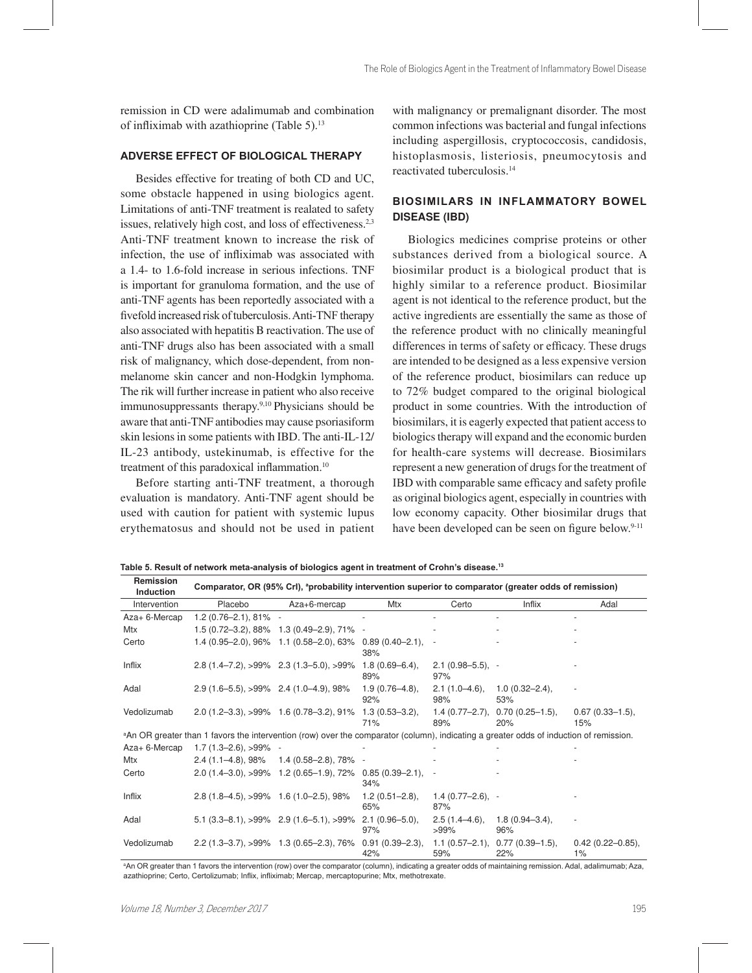remission in CD were adalimumab and combination of infliximab with azathioprine (Table 5). $13$ 

#### $ADVERSE$  EFFECT OF BIOLOGICAL THERAPY

Besides effective for treating of both CD and UC, some obstacle happened in using biologics agent. Limitations of anti-TNF treatment is realated to safety issues, relatively high cost, and loss of effectiveness.<sup>2,3</sup> Anti-TNF treatment known to increase the risk of infection, the use of infliximab was associated with a 1.4- to 1.6-fold increase in serious infections. TNF is important for granuloma formation, and the use of anti-TNF agents has been reportedly associated with a fivefold increased risk of tuberculosis. Anti-TNF therapy also associated with hepatitis B reactivation. The use of anti-TNF drugs also has been associated with a small risk of malignancy, which dose-dependent, from nonmelanome skin cancer and non-Hodgkin lymphoma. The rik will further increase in patient who also receive immunosuppressants therapy.9,10 Physicians should be aware that anti-TNF antibodies may cause psoriasiform skin lesions in some patients with IBD. The anti-IL-12/ IL-23 antibody, ustekinumab, is effective for the treatment of this paradoxical inflammation.<sup>10</sup>

Before starting anti-TNF treatment, a thorough evaluation is mandatory. Anti-TNF agent should be used with caution for patient with systemic lupus erythematosus and should not be used in patient

with malignancy or premalignant disorder. The most common infections was bacterial and fungal infections including aspergillosis, cryptococcosis, candidosis, histoplasmosis, listeriosis, pneumocytosis and reactivated tuberculosis.<sup>14</sup>

# **BIOSIMILARS IN INFLAMMATORY BOWEL DISEASE (IBD)**

Biologics medicines comprise proteins or other substances derived from a biological source. A biosimilar product is a biological product that is highly similar to a reference product. Biosimilar agent is not identical to the reference product, but the active ingredients are essentially the same as those of the reference product with no clinically meaningful differences in terms of safety or efficacy. These drugs are intended to be designed as a less expensive version of the reference product, biosimilars can reduce up to 72% budget compared to the original biological product in some countries. With the introduction of biosimilars, it is eagerly expected that patient access to biologics therapy will expand and the economic burden for health-care systems will decrease. Biosimilars represent a new generation of drugs for the treatment of IBD with comparable same efficacy and safety profile as original biologics agent, especially in countries with low economy capacity. Other biosimilar drugs that have been developed can be seen on figure below.<sup>9-11</sup>

| Remission<br>Induction | Comparator, OR (95% Crl), <sup>a</sup> probability intervention superior to comparator (greater odds of remission)                                 |                                                                        |                            |                             |                                         |                                |  |  |
|------------------------|----------------------------------------------------------------------------------------------------------------------------------------------------|------------------------------------------------------------------------|----------------------------|-----------------------------|-----------------------------------------|--------------------------------|--|--|
| Intervention           | Placebo                                                                                                                                            | $Aza+6$ -mercap                                                        | Mtx                        | Certo                       | Inflix                                  | Adal                           |  |  |
| Aza+ 6-Mercap          | $1.2(0.76-2.1), 81\%$ -                                                                                                                            |                                                                        |                            |                             |                                         |                                |  |  |
| Mtx                    |                                                                                                                                                    | 1.5 (0.72-3.2), 88% 1.3 (0.49-2.9), 71% -                              |                            |                             |                                         |                                |  |  |
| Certo                  |                                                                                                                                                    | 1.4 $(0.95-2.0)$ , $96\%$ 1.1 $(0.58-2.0)$ , 63% 0.89 $(0.40-2.1)$ , - | 38%                        |                             |                                         |                                |  |  |
| Inflix                 |                                                                                                                                                    | $2.8(1.4-7.2), >99\%$ $2.3(1.3-5.0), >99\%$ 1.8 $(0.69-6.4),$          | 89%                        | $2.1(0.98 - 5.5), -$<br>97% |                                         |                                |  |  |
| Adal                   | $2.9(1.6-5.5), >99\%$ 2.4 $(1.0-4.9), 98\%$                                                                                                        |                                                                        | $1.9(0.76 - 4.8)$<br>92%   | 98%                         | $2.1(1.0-4.6), 1.0(0.32-2.4),$<br>53%   |                                |  |  |
| Vedolizumab            |                                                                                                                                                    | $2.0(1.2-3.3),$ $>99\%$ 1.6 (0.78-3.2), 91% 1.3 (0.53-3.2),            | 71%                        | 89%                         | $1.4(0.77-2.7), 0.70(0.25-1.5),$<br>20% | $0.67(0.33 - 1.5)$ ,<br>15%    |  |  |
|                        | <sup>a</sup> An OR greater than 1 favors the intervention (row) over the comparator (column), indicating a greater odds of induction of remission. |                                                                        |                            |                             |                                         |                                |  |  |
| Aza+ 6-Mercap          | $1.7(1.3-2.6), >99\%$ -                                                                                                                            |                                                                        |                            |                             |                                         |                                |  |  |
| Mtx                    |                                                                                                                                                    | $2.4$ (1.1–4.8), 98% 1.4 (0.58–2.8), 78% -                             |                            |                             |                                         |                                |  |  |
| Certo                  |                                                                                                                                                    | $2.0(1.4-3.0), >99\%$ 1.2 $(0.65-1.9),$ 72% 0.85 $(0.39-2.1),$         | 34%                        |                             |                                         |                                |  |  |
| Inflix                 | $2.8(1.8-4.5), >99\%$ 1.6 (1.0-2.5), 98%                                                                                                           |                                                                        | $1.2(0.51 - 2.8)$ ,<br>65% | $1.4(0.77-2.6)$ , -<br>87%  |                                         |                                |  |  |
| Adal                   |                                                                                                                                                    | $5.1$ (3.3–8.1), >99% 2.9 (1.6–5.1), >99% 2.1 (0.96–5.0),              | 97%                        | $>99\%$                     | $2.5(1.4-4.6), 1.8(0.94-3.4),$<br>96%   |                                |  |  |
| Vedolizumab            |                                                                                                                                                    | $2.2(1.3-3.7), >99\%$ 1.3 $(0.65-2.3), 76\%$ 0.91 $(0.39-2.3),$        | 42%                        | 59%                         | $1.1(0.57-2.1), 0.77(0.39-1.5),$<br>22% | $0.42(0.22 - 0.85)$ ,<br>$1\%$ |  |  |

Table 5. Result of network meta-analysis of biologics agent in treatment of Crohn's disease.<sup>13</sup>

aAn OR greater than 1 favors the intervention (row) over the comparator (column), indicating a greater odds of maintaining remission. Adal, adalimumab; Aza, azathioprine; Certo, Certolizumab; Inflix, infliximab; Mercap, mercaptopurine; Mtx, methotrexate.